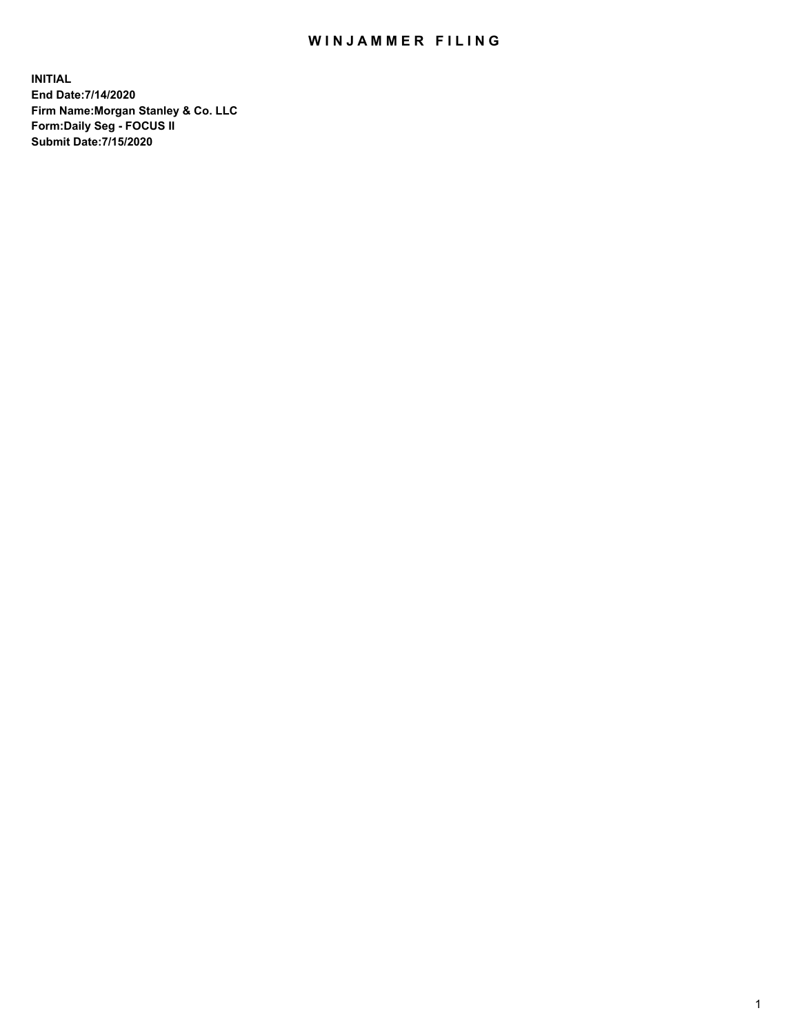## WIN JAMMER FILING

**INITIAL End Date:7/14/2020 Firm Name:Morgan Stanley & Co. LLC Form:Daily Seg - FOCUS II Submit Date:7/15/2020**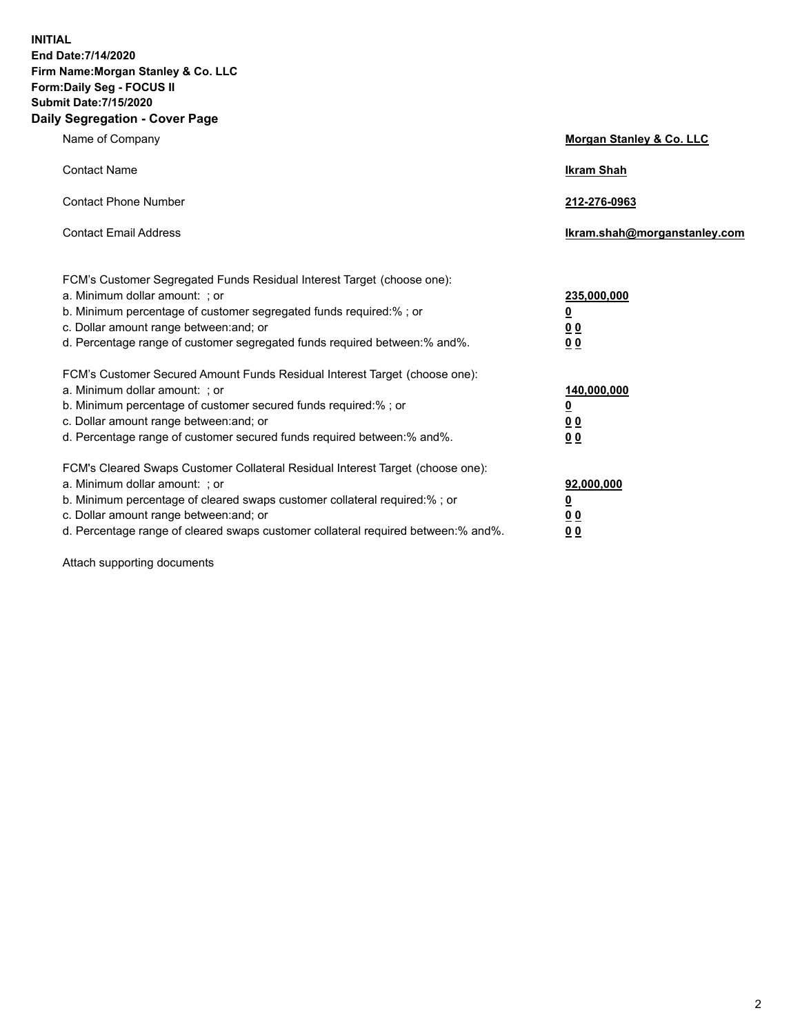**INITIAL End Date:7/14/2020 Firm Name:Morgan Stanley & Co. LLC Form:Daily Seg - FOCUS II Submit Date:7/15/2020 Daily Segregation - Cover Page**

| Name of Company                                                                                                                                                                                                                                                                                                                | Morgan Stanley & Co. LLC                                |
|--------------------------------------------------------------------------------------------------------------------------------------------------------------------------------------------------------------------------------------------------------------------------------------------------------------------------------|---------------------------------------------------------|
| <b>Contact Name</b>                                                                                                                                                                                                                                                                                                            | <b>Ikram Shah</b>                                       |
| <b>Contact Phone Number</b>                                                                                                                                                                                                                                                                                                    | 212-276-0963                                            |
| <b>Contact Email Address</b>                                                                                                                                                                                                                                                                                                   | Ikram.shah@morganstanley.com                            |
| FCM's Customer Segregated Funds Residual Interest Target (choose one):<br>a. Minimum dollar amount: ; or<br>b. Minimum percentage of customer segregated funds required:% ; or<br>c. Dollar amount range between: and; or<br>d. Percentage range of customer segregated funds required between:% and%.                         | 235,000,000<br><u>0</u><br><u>00</u><br><u>00</u>       |
| FCM's Customer Secured Amount Funds Residual Interest Target (choose one):<br>a. Minimum dollar amount: ; or<br>b. Minimum percentage of customer secured funds required:%; or<br>c. Dollar amount range between: and; or<br>d. Percentage range of customer secured funds required between:% and%.                            | 140,000,000<br><u>0</u><br><u>0 0</u><br>0 <sub>0</sub> |
| FCM's Cleared Swaps Customer Collateral Residual Interest Target (choose one):<br>a. Minimum dollar amount: ; or<br>b. Minimum percentage of cleared swaps customer collateral required:% ; or<br>c. Dollar amount range between: and; or<br>d. Percentage range of cleared swaps customer collateral required between:% and%. | 92,000,000<br><u>0</u><br><u>00</u><br>00               |

Attach supporting documents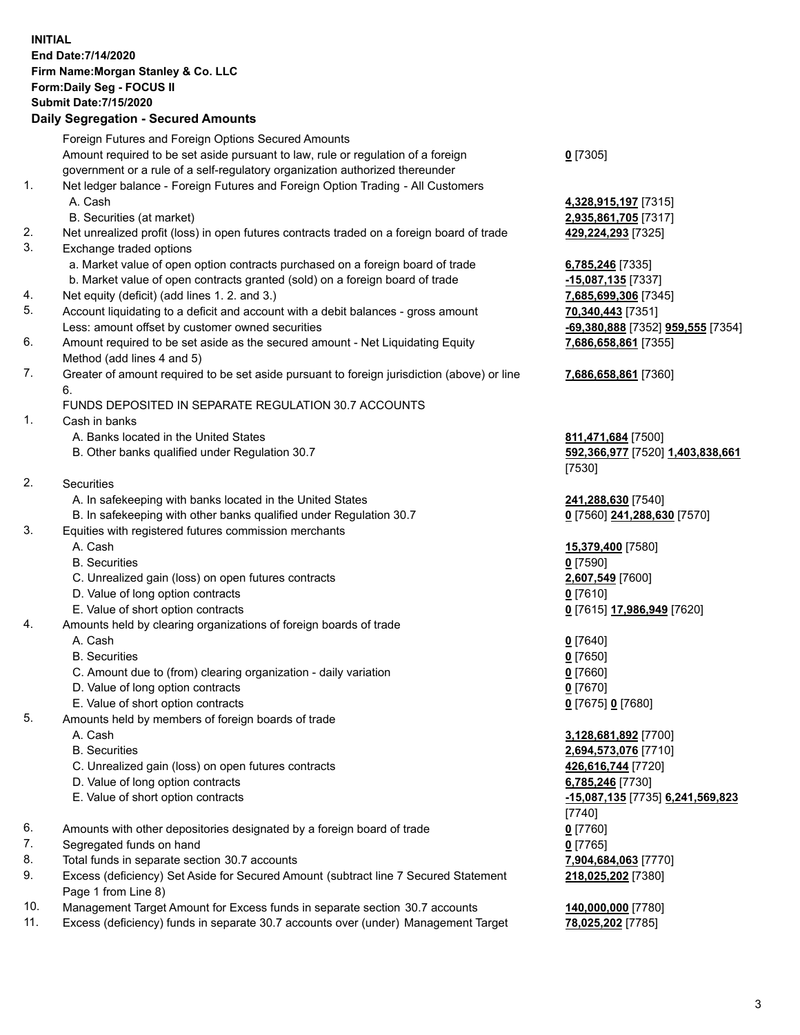## **INITIAL End Date:7/14/2020 Firm Name:Morgan Stanley & Co. LLC Form:Daily Seg - FOCUS II Submit Date:7/15/2020**

## **Daily Segregation - Secured Amounts**

|                               | Foreign Futures and Foreign Options Secured Amounts                                         |                                             |
|-------------------------------|---------------------------------------------------------------------------------------------|---------------------------------------------|
|                               | Amount required to be set aside pursuant to law, rule or regulation of a foreign            | $0$ [7305]                                  |
|                               | government or a rule of a self-regulatory organization authorized thereunder                |                                             |
| 1.                            | Net ledger balance - Foreign Futures and Foreign Option Trading - All Customers             |                                             |
|                               | A. Cash                                                                                     | 4,328,915,197 [7315]                        |
|                               | B. Securities (at market)                                                                   | 2,935,861,705 [7317]                        |
| 2.                            | Net unrealized profit (loss) in open futures contracts traded on a foreign board of trade   | 429,224,293 [7325]                          |
| 3.                            | Exchange traded options                                                                     |                                             |
|                               | a. Market value of open option contracts purchased on a foreign board of trade              | 6,785,246 [7335]                            |
|                               | b. Market value of open contracts granted (sold) on a foreign board of trade                | -15,087,135 [7337]                          |
| 4.                            | Net equity (deficit) (add lines 1. 2. and 3.)                                               | 7,685,699,306 [7345]                        |
| 5.                            | Account liquidating to a deficit and account with a debit balances - gross amount           | 70,340,443 [7351]                           |
|                               | Less: amount offset by customer owned securities                                            | -69,380,888 [7352] 959,555 [7354]           |
| 6.                            | Amount required to be set aside as the secured amount - Net Liquidating Equity              | 7,686,658,861 [7355]                        |
|                               | Method (add lines 4 and 5)                                                                  |                                             |
| 7.                            | Greater of amount required to be set aside pursuant to foreign jurisdiction (above) or line | 7,686,658,861 [7360]                        |
|                               | 6.                                                                                          |                                             |
|                               | FUNDS DEPOSITED IN SEPARATE REGULATION 30.7 ACCOUNTS                                        |                                             |
| 1.                            | Cash in banks                                                                               |                                             |
|                               | A. Banks located in the United States                                                       | 811,471,684 [7500]                          |
|                               | B. Other banks qualified under Regulation 30.7                                              | 592,366,977 [7520] 1,403,838,661            |
|                               |                                                                                             | [7530]                                      |
| 2.                            | Securities                                                                                  |                                             |
|                               | A. In safekeeping with banks located in the United States                                   | 241,288,630 [7540]                          |
|                               | B. In safekeeping with other banks qualified under Regulation 30.7                          | 0 [7560] 241,288,630 [7570]                 |
| 3.                            | Equities with registered futures commission merchants                                       |                                             |
|                               | A. Cash                                                                                     | 15,379,400 [7580]                           |
|                               | <b>B.</b> Securities                                                                        | $0$ [7590]                                  |
|                               | C. Unrealized gain (loss) on open futures contracts                                         | 2,607,549 [7600]                            |
|                               | D. Value of long option contracts                                                           | $0$ [7610]                                  |
|                               | E. Value of short option contracts                                                          | 0 [7615] 17,986,949 [7620]                  |
| 4.                            | Amounts held by clearing organizations of foreign boards of trade                           |                                             |
|                               | A. Cash                                                                                     | $0$ [7640]                                  |
|                               | <b>B.</b> Securities                                                                        | $0$ [7650]                                  |
|                               | C. Amount due to (from) clearing organization - daily variation                             | $0$ [7660]                                  |
|                               | D. Value of long option contracts                                                           | $0$ [7670]                                  |
|                               | E. Value of short option contracts                                                          | 0 [7675] 0 [7680]                           |
| 5.                            | Amounts held by members of foreign boards of trade                                          |                                             |
|                               | A. Cash                                                                                     | 3,128,681,892 [7700]                        |
|                               | <b>B.</b> Securities                                                                        | 2,694,573,076 [7710]                        |
|                               | C. Unrealized gain (loss) on open futures contracts                                         | 426,616,744 [7720]                          |
|                               | D. Value of long option contracts                                                           | 6,785,246 [7730]                            |
|                               | E. Value of short option contracts                                                          |                                             |
|                               |                                                                                             | -15,087,135 [7735] 6,241,569,823            |
|                               |                                                                                             | [7740]                                      |
| 6.                            | Amounts with other depositories designated by a foreign board of trade                      | $0$ [7760]                                  |
| 7.                            | Segregated funds on hand                                                                    | $0$ [7765]                                  |
| 8.                            | Total funds in separate section 30.7 accounts                                               | 7,904,684,063 [7770]                        |
| 9.                            | Excess (deficiency) Set Aside for Secured Amount (subtract line 7 Secured Statement         | 218,025,202 [7380]                          |
| $\overline{A}$ $\overline{C}$ | Page 1 from Line 8)                                                                         | $\overline{18}$ and and $\overline{177001}$ |
|                               |                                                                                             |                                             |

- 10. Management Target Amount for Excess funds in separate section 30.7 accounts **140,000,000** [7780]
- 11. Excess (deficiency) funds in separate 30.7 accounts over (under) Management Target **78,025,202** [7785]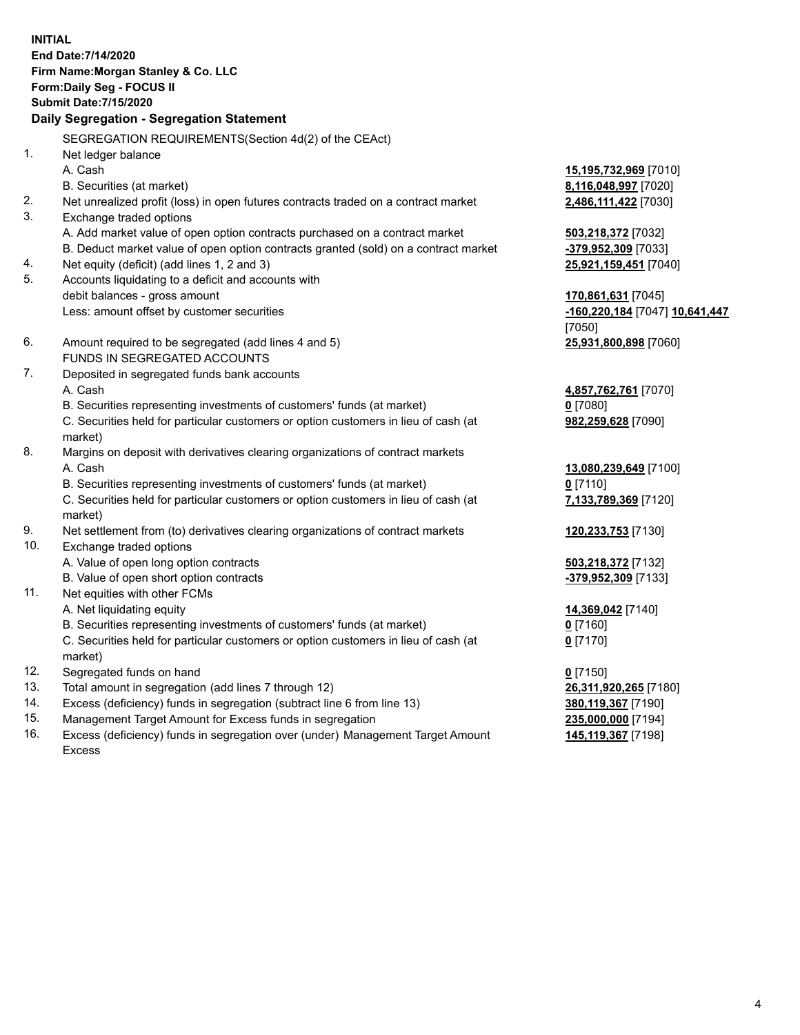**INITIAL End Date:7/14/2020 Firm Name:Morgan Stanley & Co. LLC Form:Daily Seg - FOCUS II Submit Date:7/15/2020 Daily Segregation - Segregation Statement** SEGREGATION REQUIREMENTS(Section 4d(2) of the CEAct) 1. Net ledger balance A. Cash **15,195,732,969** [7010] B. Securities (at market) **8,116,048,997** [7020] 2. Net unrealized profit (loss) in open futures contracts traded on a contract market **2,486,111,422** [7030] 3. Exchange traded options A. Add market value of open option contracts purchased on a contract market **503,218,372** [7032] B. Deduct market value of open option contracts granted (sold) on a contract market **-379,952,309** [7033] 4. Net equity (deficit) (add lines 1, 2 and 3) **25,921,159,451** [7040] 5. Accounts liquidating to a deficit and accounts with debit balances - gross amount **170,861,631** [7045] Less: amount offset by customer securities **-160,220,184** [7047] **10,641,447** [7050] 6. Amount required to be segregated (add lines 4 and 5) **25,931,800,898** [7060] FUNDS IN SEGREGATED ACCOUNTS 7. Deposited in segregated funds bank accounts A. Cash **4,857,762,761** [7070] B. Securities representing investments of customers' funds (at market) **0** [7080] C. Securities held for particular customers or option customers in lieu of cash (at market) **982,259,628** [7090] 8. Margins on deposit with derivatives clearing organizations of contract markets A. Cash **13,080,239,649** [7100] B. Securities representing investments of customers' funds (at market) **0** [7110] C. Securities held for particular customers or option customers in lieu of cash (at market) **7,133,789,369** [7120] 9. Net settlement from (to) derivatives clearing organizations of contract markets **120,233,753** [7130] 10. Exchange traded options A. Value of open long option contracts **503,218,372** [7132] B. Value of open short option contracts **-379,952,309** [7133] 11. Net equities with other FCMs A. Net liquidating equity **14,369,042** [7140] B. Securities representing investments of customers' funds (at market) **0** [7160] C. Securities held for particular customers or option customers in lieu of cash (at market) **0** [7170] 12. Segregated funds on hand **0** [7150] 13. Total amount in segregation (add lines 7 through 12) **26,311,920,265** [7180] 14. Excess (deficiency) funds in segregation (subtract line 6 from line 13) **380,119,367** [7190] 15. Management Target Amount for Excess funds in segregation **235,000,000** [7194]

16. Excess (deficiency) funds in segregation over (under) Management Target Amount Excess

**145,119,367** [7198]